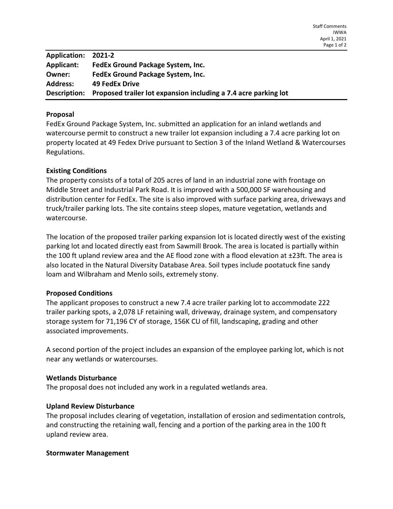| Application: 2021-2 |                                                                 |
|---------------------|-----------------------------------------------------------------|
| Applicant:          | FedEx Ground Package System, Inc.                               |
| Owner:              | FedEx Ground Package System, Inc.                               |
| <b>Address:</b>     | 49 FedEx Drive                                                  |
| Description:        | Proposed trailer lot expansion including a 7.4 acre parking lot |

### Proposal

FedEx Ground Package System, Inc. submitted an application for an inland wetlands and watercourse permit to construct a new trailer lot expansion including a 7.4 acre parking lot on property located at 49 Fedex Drive pursuant to Section 3 of the Inland Wetland & Watercourses Regulations.

### Existing Conditions

The property consists of a total of 205 acres of land in an industrial zone with frontage on Middle Street and Industrial Park Road. It is improved with a 500,000 SF warehousing and distribution center for FedEx. The site is also improved with surface parking area, driveways and truck/trailer parking lots. The site contains steep slopes, mature vegetation, wetlands and watercourse.

The location of the proposed trailer parking expansion lot is located directly west of the existing parking lot and located directly east from Sawmill Brook. The area is located is partially within the 100 ft upland review area and the AE flood zone with a flood elevation at ±23ft. The area is also located in the Natural Diversity Database Area. Soil types include pootatuck fine sandy loam and Wilbraham and Menlo soils, extremely stony.

### Proposed Conditions

The applicant proposes to construct a new 7.4 acre trailer parking lot to accommodate 222 trailer parking spots, a 2,078 LF retaining wall, driveway, drainage system, and compensatory storage system for 71,196 CY of storage, 156K CU of fill, landscaping, grading and other associated improvements.

A second portion of the project includes an expansion of the employee parking lot, which is not near any wetlands or watercourses.

#### Wetlands Disturbance

The proposal does not included any work in a regulated wetlands area.

#### Upland Review Disturbance

The proposal includes clearing of vegetation, installation of erosion and sedimentation controls, and constructing the retaining wall, fencing and a portion of the parking area in the 100 ft upland review area.

#### Stormwater Management